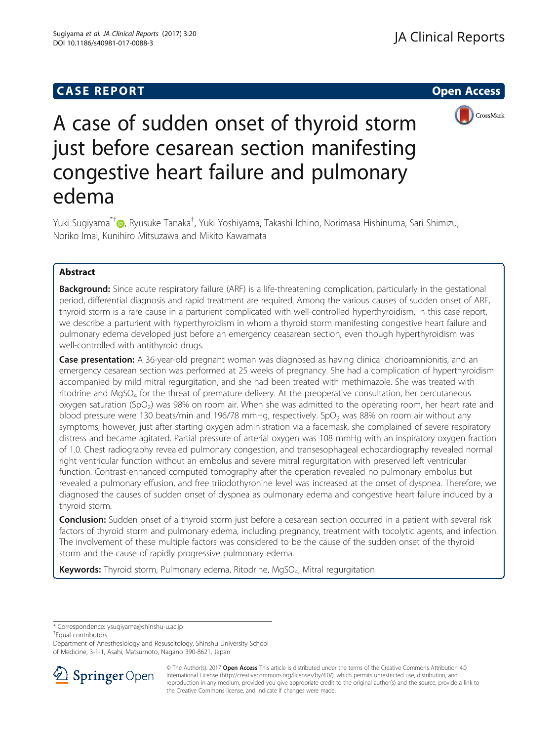# **CASE REPORT CASE REPORT CASE REPORT**



# A case of sudden onset of thyroid storm just before cesarean section manifesting congestive heart failure and pulmonary edema

Yuki Sugiyama<sup>\*[†](http://orcid.org/0000-0001-6023-582X)</sup>@, Ryusuke Tanaka<sup>†</sup>, Yuki Yoshiyama, Takashi Ichino, Norimasa Hishinuma, Sari Shimizu, Noriko Imai, Kunihiro Mitsuzawa and Mikito Kawamata

# Abstract

Background: Since acute respiratory failure (ARF) is a life-threatening complication, particularly in the gestational period, differential diagnosis and rapid treatment are required. Among the various causes of sudden onset of ARF, thyroid storm is a rare cause in a parturient complicated with well-controlled hyperthyroidism. In this case report, we describe a parturient with hyperthyroidism in whom a thyroid storm manifesting congestive heart failure and pulmonary edema developed just before an emergency ceasarean section, even though hyperthyroidism was well-controlled with antithyroid drugs.

Case presentation: A 36-year-old pregnant woman was diagnosed as having clinical chorioamnionitis, and an emergency cesarean section was performed at 25 weeks of pregnancy. She had a complication of hyperthyroidism accompanied by mild mitral regurgitation, and she had been treated with methimazole. She was treated with ritodrine and MgSO<sub>4</sub> for the threat of premature delivery. At the preoperative consultation, her percutaneous oxygen saturation (SpO<sub>2</sub>) was 98% on room air. When she was admitted to the operating room, her heart rate and blood pressure were 130 beats/min and 196/78 mmHg, respectively. SpO<sub>2</sub> was 88% on room air without any symptoms; however, just after starting oxygen administration via a facemask, she complained of severe respiratory distress and became agitated. Partial pressure of arterial oxygen was 108 mmHg with an inspiratory oxygen fraction of 1.0. Chest radiography revealed pulmonary congestion, and transesophageal echocardiography revealed normal right ventricular function without an embolus and severe mitral regurgitation with preserved left ventricular function. Contrast-enhanced computed tomography after the operation revealed no pulmonary embolus but revealed a pulmonary effusion, and free triiodothyronine level was increased at the onset of dyspnea. Therefore, we diagnosed the causes of sudden onset of dyspnea as pulmonary edema and congestive heart failure induced by a thyroid storm.

**Conclusion:** Sudden onset of a thyroid storm just before a cesarean section occurred in a patient with several risk factors of thyroid storm and pulmonary edema, including pregnancy, treatment with tocolytic agents, and infection. The involvement of these multiple factors was considered to be the cause of the sudden onset of the thyroid storm and the cause of rapidly progressive pulmonary edema.

Keywords: Thyroid storm, Pulmonary edema, Ritodrine, MgSO<sub>4</sub>, Mitral regurgitation

\* Correspondence: [ysugiyama@shinshu-u.ac.jp](mailto:ysugiyama@shinshu-u.ac.jp) †

Equal contributors

Department of Anesthesiology and Resuscitology, Shinshu University School of Medicine, 3-1-1, Asahi, Matsumoto, Nagano 390-8621, Japan



<sup>©</sup> The Author(s). 2017 **Open Access** This article is distributed under the terms of the Creative Commons Attribution 4.0 International License ([http://creativecommons.org/licenses/by/4.0/\)](http://creativecommons.org/licenses/by/4.0/), which permits unrestricted use, distribution, and reproduction in any medium, provided you give appropriate credit to the original author(s) and the source, provide a link to the Creative Commons license, and indicate if changes were made.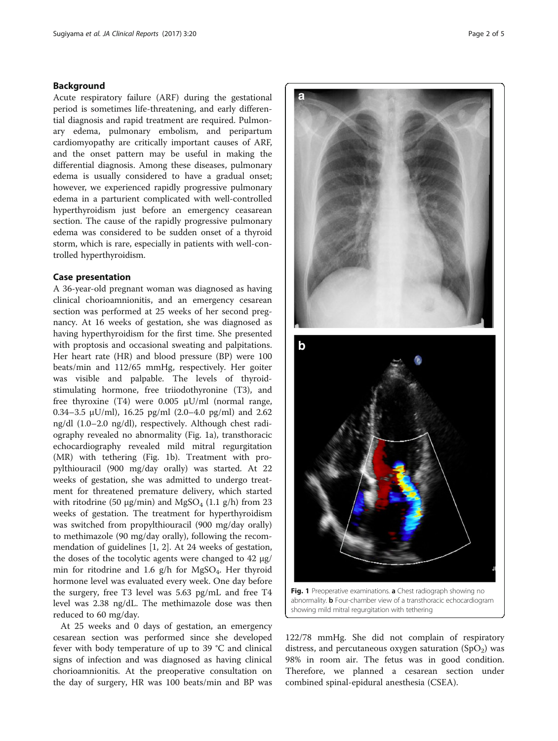### Background

Acute respiratory failure (ARF) during the gestational period is sometimes life-threatening, and early differential diagnosis and rapid treatment are required. Pulmonary edema, pulmonary embolism, and peripartum cardiomyopathy are critically important causes of ARF, and the onset pattern may be useful in making the differential diagnosis. Among these diseases, pulmonary edema is usually considered to have a gradual onset; however, we experienced rapidly progressive pulmonary edema in a parturient complicated with well-controlled hyperthyroidism just before an emergency ceasarean section. The cause of the rapidly progressive pulmonary edema was considered to be sudden onset of a thyroid storm, which is rare, especially in patients with well-controlled hyperthyroidism.

# Case presentation

A 36-year-old pregnant woman was diagnosed as having clinical chorioamnionitis, and an emergency cesarean section was performed at 25 weeks of her second pregnancy. At 16 weeks of gestation, she was diagnosed as having hyperthyroidism for the first time. She presented with proptosis and occasional sweating and palpitations. Her heart rate (HR) and blood pressure (BP) were 100 beats/min and 112/65 mmHg, respectively. Her goiter was visible and palpable. The levels of thyroidstimulating hormone, free triiodothyronine (T3), and free thyroxine (T4) were 0.005 μU/ml (normal range, 0.34–3.5  $\mu$ U/ml), 16.25 pg/ml (2.0–4.0 pg/ml) and 2.62 ng/dl (1.0–2.0 ng/dl), respectively. Although chest radiography revealed no abnormality (Fig. 1a), transthoracic echocardiography revealed mild mitral regurgitation (MR) with tethering (Fig. 1b). Treatment with propylthiouracil (900 mg/day orally) was started. At 22 weeks of gestation, she was admitted to undergo treatment for threatened premature delivery, which started with ritodrine (50  $\mu$ g/min) and MgSO<sub>4</sub> (1.1 g/h) from 23 weeks of gestation. The treatment for hyperthyroidism was switched from propylthiouracil (900 mg/day orally) to methimazole (90 mg/day orally), following the recommendation of guidelines [\[1](#page-4-0), [2\]](#page-4-0). At 24 weeks of gestation, the doses of the tocolytic agents were changed to 42 μg/ min for ritodrine and 1.6  $g/h$  for MgSO<sub>4</sub>. Her thyroid hormone level was evaluated every week. One day before the surgery, free T3 level was 5.63 pg/mL and free T4 level was 2.38 ng/dL. The methimazole dose was then reduced to 60 mg/day.

At 25 weeks and 0 days of gestation, an emergency cesarean section was performed since she developed fever with body temperature of up to 39 °C and clinical signs of infection and was diagnosed as having clinical chorioamnionitis. At the preoperative consultation on the day of surgery, HR was 100 beats/min and BP was



abnormality. b Four-chamber view of a transthoracic echocardiogram showing mild mitral regurgitation with tethering

122/78 mmHg. She did not complain of respiratory distress, and percutaneous oxygen saturation  $(SpO<sub>2</sub>)$  was 98% in room air. The fetus was in good condition. Therefore, we planned a cesarean section under combined spinal-epidural anesthesia (CSEA).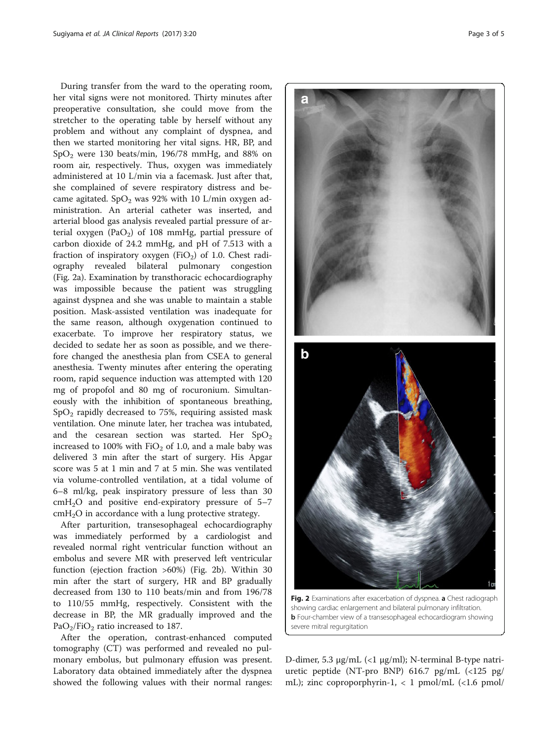During transfer from the ward to the operating room, her vital signs were not monitored. Thirty minutes after preoperative consultation, she could move from the stretcher to the operating table by herself without any problem and without any complaint of dyspnea, and then we started monitoring her vital signs. HR, BP, and  $SpO<sub>2</sub>$  were 130 beats/min, 196/78 mmHg, and 88% on room air, respectively. Thus, oxygen was immediately administered at 10 L/min via a facemask. Just after that, she complained of severe respiratory distress and became agitated.  $SpO<sub>2</sub>$  was 92% with 10 L/min oxygen administration. An arterial catheter was inserted, and arterial blood gas analysis revealed partial pressure of arterial oxygen (PaO<sub>2</sub>) of 108 mmHg, partial pressure of carbon dioxide of 24.2 mmHg, and pH of 7.513 with a fraction of inspiratory oxygen (FiO<sub>2</sub>) of 1.0. Chest radiography revealed bilateral pulmonary congestion (Fig. 2a). Examination by transthoracic echocardiography was impossible because the patient was struggling against dyspnea and she was unable to maintain a stable position. Mask-assisted ventilation was inadequate for the same reason, although oxygenation continued to exacerbate. To improve her respiratory status, we decided to sedate her as soon as possible, and we therefore changed the anesthesia plan from CSEA to general anesthesia. Twenty minutes after entering the operating room, rapid sequence induction was attempted with 120 mg of propofol and 80 mg of rocuronium. Simultaneously with the inhibition of spontaneous breathing,  $SpO<sub>2</sub>$  rapidly decreased to 75%, requiring assisted mask ventilation. One minute later, her trachea was intubated, and the cesarean section was started. Her  $SpO<sub>2</sub>$ increased to 100% with  $FiO<sub>2</sub>$  of 1.0, and a male baby was delivered 3 min after the start of surgery. His Apgar score was 5 at 1 min and 7 at 5 min. She was ventilated via volume-controlled ventilation, at a tidal volume of 6–8 ml/kg, peak inspiratory pressure of less than 30  $cmH<sub>2</sub>O$  and positive end-expiratory pressure of 5–7  $cmH<sub>2</sub>O$  in accordance with a lung protective strategy.

After parturition, transesophageal echocardiography was immediately performed by a cardiologist and revealed normal right ventricular function without an embolus and severe MR with preserved left ventricular function (ejection fraction >60%) (Fig. 2b). Within 30 min after the start of surgery, HR and BP gradually decreased from 130 to 110 beats/min and from 196/78 to 110/55 mmHg, respectively. Consistent with the decrease in BP, the MR gradually improved and the PaO<sub>2</sub>/FiO<sub>2</sub> ratio increased to 187.

After the operation, contrast-enhanced computed tomography (CT) was performed and revealed no pulmonary embolus, but pulmonary effusion was present. Laboratory data obtained immediately after the dyspnea showed the following values with their normal ranges:



showing cardiac enlargement and bilateral pulmonary infiltration. **b** Four-chamber view of a transesophageal echocardiogram showing severe mitral regurgitation

D-dimer, 5.3 μg/mL (<1 μg/ml); N-terminal B-type natriuretic peptide (NT-pro BNP) 616.7 pg/mL (<125 pg/ mL); zinc coproporphyrin-1,  $\langle 1 \text{ pmol/mL } ( \langle 1.6 \text{ pmol} \rangle )$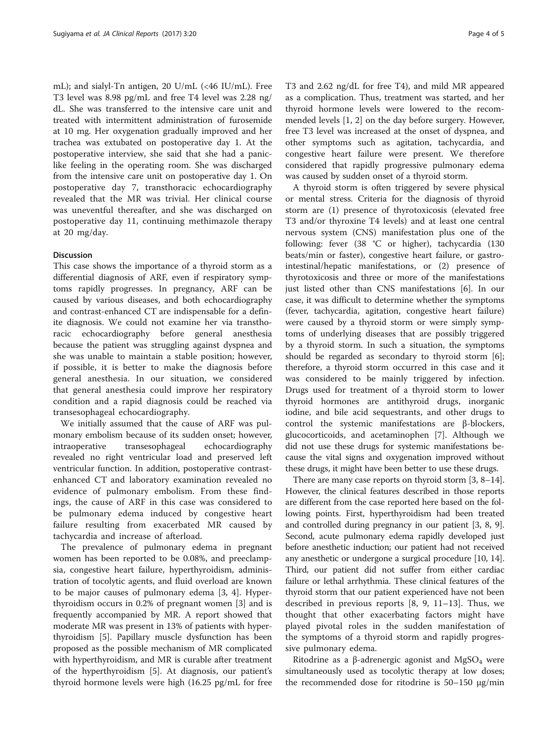mL); and sialyl-Tn antigen, 20 U/mL (<46 IU/mL). Free T3 level was 8.98 pg/mL and free T4 level was 2.28 ng/ dL. She was transferred to the intensive care unit and treated with intermittent administration of furosemide at 10 mg. Her oxygenation gradually improved and her trachea was extubated on postoperative day 1. At the postoperative interview, she said that she had a paniclike feeling in the operating room. She was discharged from the intensive care unit on postoperative day 1. On postoperative day 7, transthoracic echocardiography revealed that the MR was trivial. Her clinical course was uneventful thereafter, and she was discharged on postoperative day 11, continuing methimazole therapy at 20 mg/day.

# Discussion

This case shows the importance of a thyroid storm as a differential diagnosis of ARF, even if respiratory symptoms rapidly progresses. In pregnancy, ARF can be caused by various diseases, and both echocardiography and contrast-enhanced CT are indispensable for a definite diagnosis. We could not examine her via transthoracic echocardiography before general anesthesia because the patient was struggling against dyspnea and she was unable to maintain a stable position; however, if possible, it is better to make the diagnosis before general anesthesia. In our situation, we considered that general anesthesia could improve her respiratory condition and a rapid diagnosis could be reached via transesophageal echocardiography.

We initially assumed that the cause of ARF was pulmonary embolism because of its sudden onset; however, intraoperative transesophageal echocardiography revealed no right ventricular load and preserved left ventricular function. In addition, postoperative contrastenhanced CT and laboratory examination revealed no evidence of pulmonary embolism. From these findings, the cause of ARF in this case was considered to be pulmonary edema induced by congestive heart failure resulting from exacerbated MR caused by tachycardia and increase of afterload.

The prevalence of pulmonary edema in pregnant women has been reported to be 0.08%, and preeclampsia, congestive heart failure, hyperthyroidism, administration of tocolytic agents, and fluid overload are known to be major causes of pulmonary edema [\[3](#page-4-0), [4](#page-4-0)]. Hyperthyroidism occurs in 0.2% of pregnant women [[3](#page-4-0)] and is frequently accompanied by MR. A report showed that moderate MR was present in 13% of patients with hyperthyroidism [\[5](#page-4-0)]. Papillary muscle dysfunction has been proposed as the possible mechanism of MR complicated with hyperthyroidism, and MR is curable after treatment of the hyperthyroidism [[5\]](#page-4-0). At diagnosis, our patient's thyroid hormone levels were high (16.25 pg/mL for free T3 and 2.62 ng/dL for free T4), and mild MR appeared as a complication. Thus, treatment was started, and her thyroid hormone levels were lowered to the recommended levels [\[1, 2](#page-4-0)] on the day before surgery. However, free T3 level was increased at the onset of dyspnea, and other symptoms such as agitation, tachycardia, and congestive heart failure were present. We therefore considered that rapidly progressive pulmonary edema was caused by sudden onset of a thyroid storm.

A thyroid storm is often triggered by severe physical or mental stress. Criteria for the diagnosis of thyroid storm are (1) presence of thyrotoxicosis (elevated free T3 and/or thyroxine T4 levels) and at least one central nervous system (CNS) manifestation plus one of the following: fever (38 °C or higher), tachycardia (130 beats/min or faster), congestive heart failure, or gastrointestinal/hepatic manifestations, or (2) presence of thyrotoxicosis and three or more of the manifestations just listed other than CNS manifestations [[6\]](#page-4-0). In our case, it was difficult to determine whether the symptoms (fever, tachycardia, agitation, congestive heart failure) were caused by a thyroid storm or were simply symptoms of underlying diseases that are possibly triggered by a thyroid storm. In such a situation, the symptoms should be regarded as secondary to thyroid storm [\[6](#page-4-0)]; therefore, a thyroid storm occurred in this case and it was considered to be mainly triggered by infection. Drugs used for treatment of a thyroid storm to lower thyroid hormones are antithyroid drugs, inorganic iodine, and bile acid sequestrants, and other drugs to control the systemic manifestations are β-blockers, glucocorticoids, and acetaminophen [\[7\]](#page-4-0). Although we did not use these drugs for systemic manifestations because the vital signs and oxygenation improved without these drugs, it might have been better to use these drugs.

There are many case reports on thyroid storm [\[3](#page-4-0), [8](#page-4-0)–[14](#page-4-0)]. However, the clinical features described in those reports are different from the case reported here based on the following points. First, hyperthyroidism had been treated and controlled during pregnancy in our patient [\[3](#page-4-0), [8, 9](#page-4-0)]. Second, acute pulmonary edema rapidly developed just before anesthetic induction; our patient had not received any anesthetic or undergone a surgical procedure [\[10, 14](#page-4-0)]. Third, our patient did not suffer from either cardiac failure or lethal arrhythmia. These clinical features of the thyroid storm that our patient experienced have not been described in previous reports [\[8](#page-4-0), [9](#page-4-0), [11](#page-4-0)–[13\]](#page-4-0). Thus, we thought that other exacerbating factors might have played pivotal roles in the sudden manifestation of the symptoms of a thyroid storm and rapidly progressive pulmonary edema.

Ritodrine as a β-adrenergic agonist and  $MgSO<sub>4</sub>$  were simultaneously used as tocolytic therapy at low doses; the recommended dose for ritodrine is 50–150 μg/min